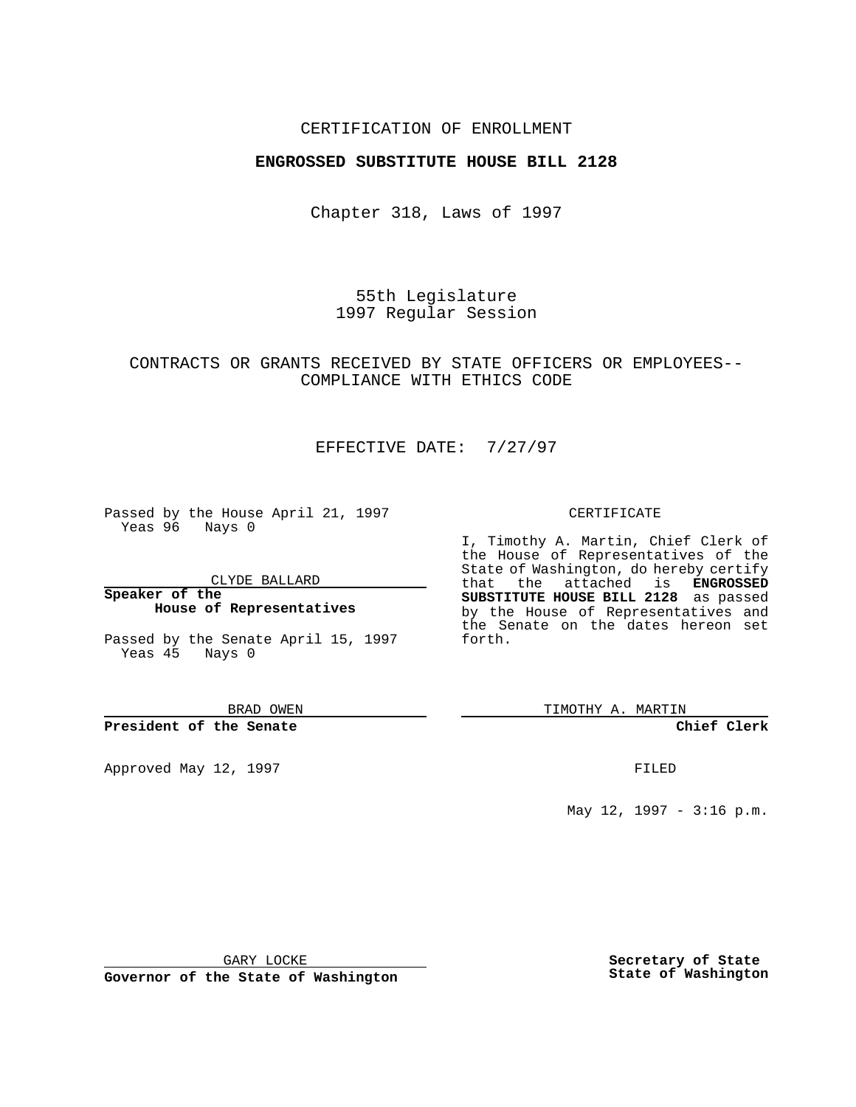## CERTIFICATION OF ENROLLMENT

## **ENGROSSED SUBSTITUTE HOUSE BILL 2128**

Chapter 318, Laws of 1997

55th Legislature 1997 Regular Session

## CONTRACTS OR GRANTS RECEIVED BY STATE OFFICERS OR EMPLOYEES-- COMPLIANCE WITH ETHICS CODE

# EFFECTIVE DATE: 7/27/97

Passed by the House April 21, 1997 Yeas 96 Nays 0

CLYDE BALLARD

**Speaker of the House of Representatives**

Passed by the Senate April 15, 1997 Yeas 45 Nays 0

BRAD OWEN

#### **President of the Senate**

Approved May 12, 1997 **FILED** 

#### CERTIFICATE

I, Timothy A. Martin, Chief Clerk of the House of Representatives of the State of Washington, do hereby certify that the attached is **ENGROSSED SUBSTITUTE HOUSE BILL 2128** as passed by the House of Representatives and the Senate on the dates hereon set forth.

TIMOTHY A. MARTIN

### **Chief Clerk**

May 12, 1997 - 3:16 p.m.

GARY LOCKE

**Governor of the State of Washington**

**Secretary of State State of Washington**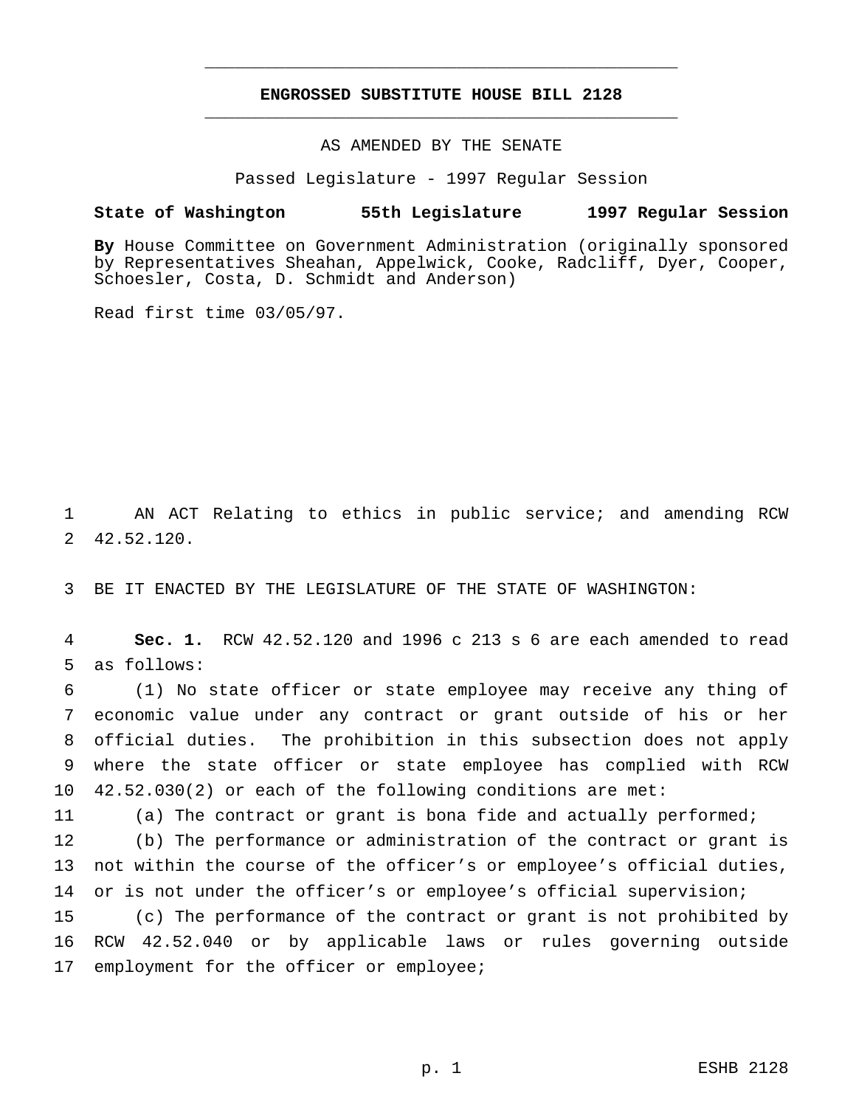# **ENGROSSED SUBSTITUTE HOUSE BILL 2128** \_\_\_\_\_\_\_\_\_\_\_\_\_\_\_\_\_\_\_\_\_\_\_\_\_\_\_\_\_\_\_\_\_\_\_\_\_\_\_\_\_\_\_\_\_\_\_

\_\_\_\_\_\_\_\_\_\_\_\_\_\_\_\_\_\_\_\_\_\_\_\_\_\_\_\_\_\_\_\_\_\_\_\_\_\_\_\_\_\_\_\_\_\_\_

AS AMENDED BY THE SENATE

Passed Legislature - 1997 Regular Session

### **State of Washington 55th Legislature 1997 Regular Session**

**By** House Committee on Government Administration (originally sponsored by Representatives Sheahan, Appelwick, Cooke, Radcliff, Dyer, Cooper, Schoesler, Costa, D. Schmidt and Anderson)

Read first time 03/05/97.

1 AN ACT Relating to ethics in public service; and amending RCW 2 42.52.120.

3 BE IT ENACTED BY THE LEGISLATURE OF THE STATE OF WASHINGTON:

4 **Sec. 1.** RCW 42.52.120 and 1996 c 213 s 6 are each amended to read 5 as follows:

 (1) No state officer or state employee may receive any thing of economic value under any contract or grant outside of his or her official duties. The prohibition in this subsection does not apply where the state officer or state employee has complied with RCW 42.52.030(2) or each of the following conditions are met:

11 (a) The contract or grant is bona fide and actually performed;

12 (b) The performance or administration of the contract or grant is 13 not within the course of the officer's or employee's official duties, 14 or is not under the officer's or employee's official supervision;

15 (c) The performance of the contract or grant is not prohibited by 16 RCW 42.52.040 or by applicable laws or rules governing outside 17 employment for the officer or employee;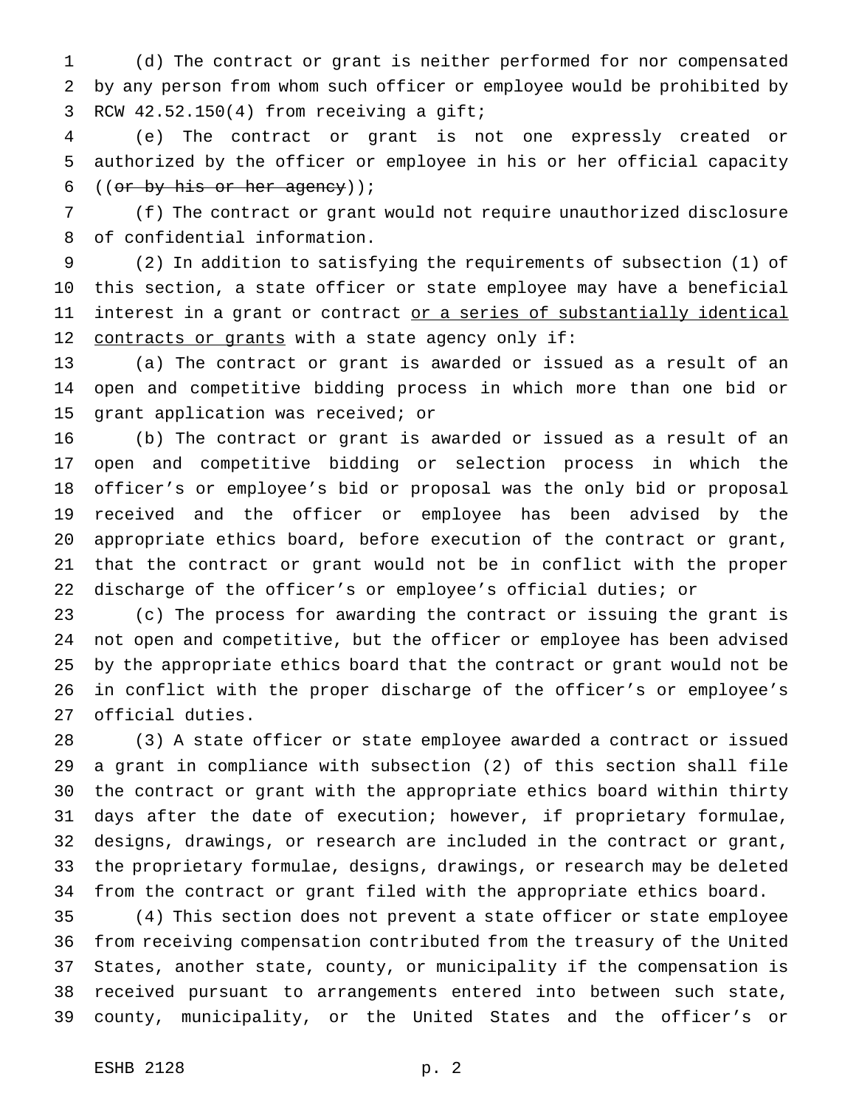(d) The contract or grant is neither performed for nor compensated by any person from whom such officer or employee would be prohibited by RCW 42.52.150(4) from receiving a gift;

 (e) The contract or grant is not one expressly created or authorized by the officer or employee in his or her official capacity ((or by his or her agency));

 (f) The contract or grant would not require unauthorized disclosure of confidential information.

 (2) In addition to satisfying the requirements of subsection (1) of this section, a state officer or state employee may have a beneficial 11 interest in a grant or contract or a series of substantially identical 12 contracts or grants with a state agency only if:

 (a) The contract or grant is awarded or issued as a result of an open and competitive bidding process in which more than one bid or grant application was received; or

 (b) The contract or grant is awarded or issued as a result of an open and competitive bidding or selection process in which the officer's or employee's bid or proposal was the only bid or proposal received and the officer or employee has been advised by the appropriate ethics board, before execution of the contract or grant, that the contract or grant would not be in conflict with the proper discharge of the officer's or employee's official duties; or

 (c) The process for awarding the contract or issuing the grant is not open and competitive, but the officer or employee has been advised by the appropriate ethics board that the contract or grant would not be in conflict with the proper discharge of the officer's or employee's official duties.

 (3) A state officer or state employee awarded a contract or issued a grant in compliance with subsection (2) of this section shall file the contract or grant with the appropriate ethics board within thirty days after the date of execution; however, if proprietary formulae, designs, drawings, or research are included in the contract or grant, the proprietary formulae, designs, drawings, or research may be deleted from the contract or grant filed with the appropriate ethics board.

 (4) This section does not prevent a state officer or state employee from receiving compensation contributed from the treasury of the United States, another state, county, or municipality if the compensation is received pursuant to arrangements entered into between such state, county, municipality, or the United States and the officer's or